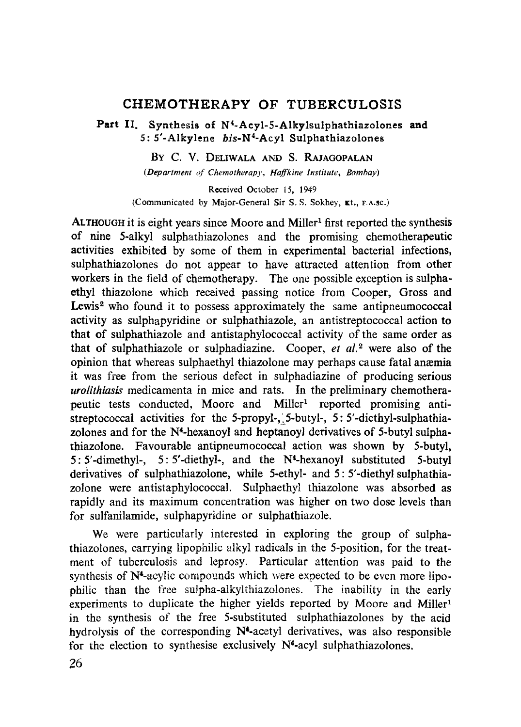# **CHEMOTHERAPY OF TUBERCULOSIS**

**Part H. Synthesis of N4**-Acyl-5-**Alkylsulphathiazolones and 5: 5'-Alkylene bis-N <sup>4</sup>-Acyl Sulphathiazolones**

BY C. V. DELIWALA AND S. RAJAGOPALAN

*(Department of Chemotherapy, Haffkine Institute, Bombay)*

Received October 15, 1949 (Communicated by Major-General Sir S. S. Sokhey, &t., F.A.SC.)

ALTHOUGH it is eight years since Moore and Miller<sup>1</sup> first reported the synthesis of nine 5-alkyl sulphathiazolones and the promising chemotherapeutic activities exhibited by some of them in experimental bacterial infections, sulphathiazolones do not appear to have attracted attention from other workers in the field of chemotherapy. The one possible exception is sulphaethyl thiazolone which received passing notice from Cooper, Gross and Lewis<sup>2</sup> who found it to possess approximately the same antipneumococcal activity as sulphapyridine or sulphathiazole, an antistreptococcal action to that of sulphathiazole and antistaphylococcal activity of the same order as that of sulphathiazole or sulphadiazine. Cooper, *et al. <sup>2</sup>* were also of the opinion that whereas sulphaethyl thiazolone may perhaps cause fatal anemia it was free from the serious defect in sulphadiazine of producing serious *urolithiasis* medicamenta in mice and rats. In the preliminary chemotherapeutic tests conducted, Moore and Miller' reported promising antistreptococcal activities for the 5-propyl-, 5-butyl-, 5: 5'-diethyl-sulphathiazolones and for the N<sup>4</sup>-hexanoyl and heptanoyl derivatives of 5-butyl sulphathiazolone. Favourable antipneumococcal action was shown by 5-butyl, 5: 5'-dimethyl-, 5: 5'-diethyl-, and the N4-hexanoyl substituted 5-butyl derivatives of sulphathiazolone, while 5-ethyl- and 5: 5'-diethyl sulphathiazolone were antistaphylococcal. Sulphaethyl thiazolone was absorbed as rapidly and its maximum concentration was higher on two dose levels than for sulfanilamide, sulphapyridine or sulphathiazole.

We were particularly interested in exploring the group of suiphathiazolones, carrying lipophilic alkyl radicals in the 5-position, for the treatment of tuberculosis and leprosy. Particular attention was paid to the synthesis of N4-acylic compounds which were expected to be even more lipophilic than the free sulpha-alkylthiazolones. The inability in the early experiments to duplicate the higher yields reported by Moore and Miller' in the synthesis of the free 5-substituted sulphathiazolones by the acid hydrolysis of the corresponding  $N<sup>4</sup>$ -acetyl derivatives, was also responsible for the election to synthesise exclusively  $N^4$ -acyl sulphathiazolones,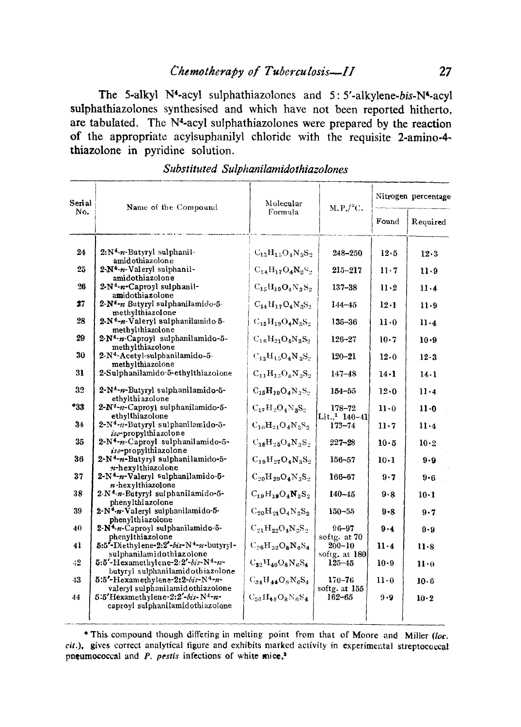The 5-alkyl N<sup>4</sup>-acyl sulphathiazolones and 5:5'-alkylene-bis-N<sup>4</sup>-acyl sulphathiazolones synthesised and which have not been reported hitherto, are tabulated. The N<sup>4</sup>-acyl sulphathiazolones were prepared by the reaction of the appropriate acylsuphanilyl chloride with the requisite 2-amino-4thiazolone in pyridine solution.

| Serial | Name of the Compound                                                                  | Molecular               | $M, P, /^{\circ}C$ .                 | Nitrogen percentage |              |
|--------|---------------------------------------------------------------------------------------|-------------------------|--------------------------------------|---------------------|--------------|
| No.    |                                                                                       | Formula                 |                                      | Found               | Required     |
| 24     | $2:N^4-n$ -Butyryl sulphanil-                                                         | $C_{13}H_{15}O_4N_3S_2$ | 248-250                              | 12.5                | $12 - 3$     |
|        | amidothiazolone                                                                       |                         |                                      |                     |              |
| 25     | 2-N <sup>4</sup> -n-Valeryl sulphanil-                                                | $C_{14}H_{17}O_4N_2S_4$ | $215 - 217$                          | $11 \cdot 7$        | 11.9         |
| 26     | amidothiazolone<br>2-N <sup>4</sup> -n-Caproyl sulphanil-                             | $C_{15}H_{19}O_4N_3S_2$ | $137 - 38$                           | 11.2                | $11 - 4$     |
|        | amidothiazolone                                                                       |                         |                                      |                     |              |
| 27     | $2-N^4-n$ Butyryl sulphanilamido-5-                                                   | $C_{14}H_{17}O_4N_8S_2$ | $144 - 45$                           | 12.1                | $11 - 9$     |
|        | methylthiazolone                                                                      |                         |                                      |                     |              |
| 28     | 2-N <sup>4</sup> -n-Valeryl sulphanilamido-5-<br>methylthiazolone                     | $C_{15}H_{19}O_4N_8S_2$ | $135 - 36$                           | $11-0$              | 11.4         |
| 29     | $2-N4·n$ -Caproyl sulphanilamido-5-                                                   | $C_{16}H_{21}O_4N_8S_2$ | $126 - 27$                           | $10-7$              | $10-9$       |
|        | methylthiazolone                                                                      |                         |                                      |                     |              |
| 30     | 2-N <sup>4</sup> -Acetyl-sulphanilamido-5-                                            | $C_{13}H_{15}O_4N_8S_2$ | $120 - 21$                           | 12.0                | 12.3         |
| 31     | methylthiazolone<br>2-Sulphanilamido 5-ethylthiazolone                                | $C_{11}H_{12}O_8N_2S_2$ | $147 - 48$                           | $14-1$              | $14-1$       |
|        |                                                                                       |                         |                                      |                     |              |
| 32     | 2-N <sup>4</sup> -n-Butyryl sulphanilamido-5-<br>ethylthiazolone                      | $C_{15}H_{19}O_4N_2S_4$ | $154 - 55$                           | 12.0                | 11.4         |
| *33    | $2-N^4-n-Caproy1$ sulphanilamido-5-<br>ethylthiazolone                                | $C_{17}H_2O_4N_3S_2$    | 178-72<br>Lit. <sup>1</sup> $140-41$ | 11.0                | $11-0$       |
| 34     | 2-N <sup>4</sup> -n-Butyryl sulphanilamido-5-<br>iso-propylthiazolone                 | $C_{16}H_{21}O_4N_2S_2$ | $173 - 74$                           | $11-7$              | $11-4$       |
| 35     | $2-N4-n-Caproyl$ sulphanilamido-5-                                                    | $C_{18}H_{25}O_4N_3S_2$ | $227 - 28$                           | 10.5                | $10 \cdot 2$ |
|        | iso-propylthiazolone                                                                  |                         |                                      |                     |              |
| 36     | 2-N <sup>4</sup> -n-Butyryl sulphanilamido-5-                                         | $C_{19}H_{27}O_4N_3S_2$ | $156 - 57$                           | $10 \cdot 1$        | 9.9          |
| 37     | n-hexylthiazolone<br>$2-N4-n-Valeryl$ sulphanilamido-5-<br>n-hexylthiazolone          | $C_{20}H_{29}O_4N_3S_2$ | 166-67                               | 9.7                 | $9 - 6$      |
| 38     | 2-N <sup>4</sup> -n-Butyryl sulphanilamido-5-<br>phenylthiazolone                     | $C_{19}H_{19}O_4N_3S_2$ | $140 - 45$                           | 9.8                 | $10-1$       |
| 39     | 2-N <sup>4</sup> -n-Valeryl sulphanilamido-5-<br>phenylthiazolone                     | $C_{20}H_{21}O_4N_2S_2$ | $150 - 55$                           | 9.8                 | $9 - 7$      |
| 40.    | $2-N4$ r. Caprovl sulphanilamido-5-<br>phenylthiazolone                               | $C_{21}H_{22}O_4N_2S_2$ | $96 - 97$<br>softg. at 70            | $9 - 4$             | 9.9          |
| 41     | 5:5'-Diethylene-2:2'-bis-N4-n-butyryl-<br>sulphanilamidothiazolone                    | $C_{28}H_{32}O_8N_6S_4$ | $200 - 10$<br>softg. at 180          | $11-4$              | 11.8         |
| 42     | $5:5'-H$ examethylene-2:2'-bis-N <sup>4</sup> -n-<br>butyryl sulphanilamidothiazolone | $C_{32}H_{40}O_8N_8S_4$ | $125 - 45$                           | $10 - 9$            | $11 \cdot 0$ |
| 43     | 5:5'-Hexamethylene-2:2-bis-N4-n-<br>valeryl sulphanilamid othiazolone                 | $C_{34}H_{44}O_8N_6S_4$ | $170 - 76$<br>softg. at 155          | $11 \cdot 0$        | 10.6         |
| 44     | 5:5'Hexamethylene-2:2'-bis-N <sup>4</sup> -n-<br>caprovl sulphanilamidothiazolone     | $C_{36}H_{48}O_8N_6S_4$ | 162–65                               | $9 - 9$             | 10.2         |
|        |                                                                                       |                         |                                      |                     |              |

Substituted Sulphanilamidothiazolones

\* This compound though differing in melting point from that of Moore and Miller (loc. cit.), gives correct analytical figure and exhibits marked activity in experimental streptococcal pneumococcal and  $P$ . pestis infections of white mice,<sup>3</sup>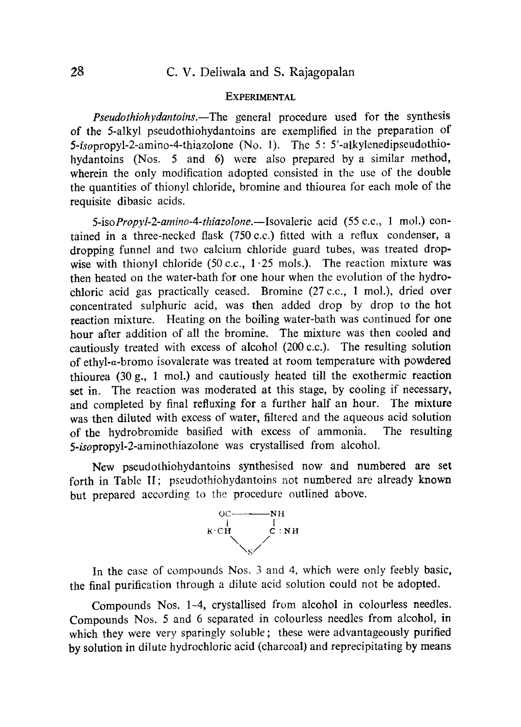## **EXPERIMENTAL**

*Pseudothiohydantoins.—The* general procedure used for the synthesis of the 5-alkyl pseudothiohydantoins are exemplified in the preparation of 5-isopropyl-2-amino-4-thiazolone (No. 1). The 5: 5'-alkylenedipseudothiohydantoins (Nos. 5 and 6) were also prepared by a similar method, wherein the only modification adopted consisted in the use of the double the quantities of thionyl chloride, bromine and thiourea for each mole of the requisite dibasic acids.

*5-isoPropyl-2-amino-4-thiazolone.—Isovaleric* acid (55 c.c., 1 mol.) contained in a three-necked flask (750 c.c.) fitted with a reflux condenser, a dropping funnel and two calcium chloride guard tubes, was treated dropwise with thionyl chloride (50 c.c.,  $1 \cdot 25$  mols.). The reaction mixture was then heated on the water-bath for one hour when the evolution of the hydrochloric acid gas practically ceased. Bromine (27 c.c., 1 mol.), dried over concentrated sulphuric acid, was then added drop by drop to the hot reaction mixture. Heating on the boiling water-bath was continued for one hour after addition of all the bromine. The mixture was then cooled and cautiously treated with excess of alcohol (200 c.c.). The resulting solution of ethyl-a-bromo isovalerate was treated at room temperature with powdered thiourea (30 g., I mol.) and cautiously heated till the exothermic reaction **set in.** The reaction was moderated at this stage, by cooling if necessary, and completed by final refluxing for a further half an hour. The mixture was then diluted with excess of water, filtered and the aqueous acid solution of the hydrobromide basified with excess of ammonia. The resulting 5-isopropyl-2-aminothiazolone was crystallised from alcohol.

New pseudothiohydantoins synthesised now and numbered are set forth in Table H; pseudothiohydantoins not numbered are already known but prepared according to the procedure outlined above.



In the case of compounds Nos. 3 and 4, which were only feebly basic, the final purification through a dilute acid solution could not be adopted.

Compounds Nos. 1-4, crystallised from alcohol in colourless needles. Compounds Nos. 5 and 6 separated in colourless needles from alcohol, in which they were very sparingly soluble; these were advantageously purified by solution in dilute hydrochloric acid (charcoal) and reprecipitating by means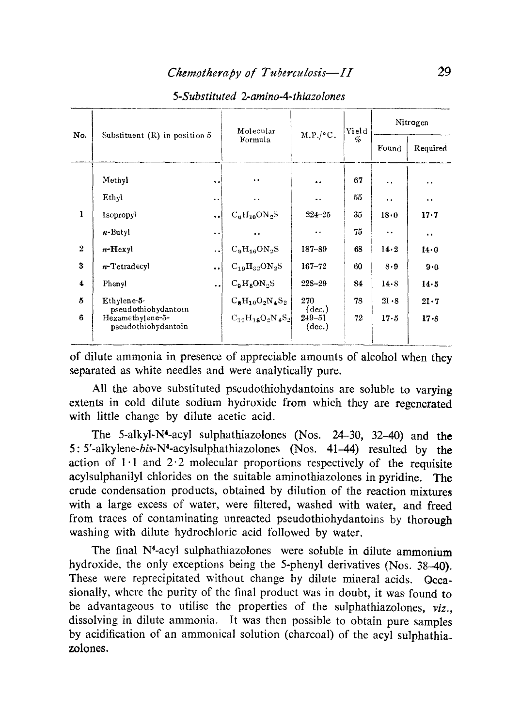| No.            | Substituent $(R)$ in position 5                                |                      | Molecular                    | M.P./°C.                                | Yield<br>$\mathcal{G}_0$ | Nitrogen             |                      |
|----------------|----------------------------------------------------------------|----------------------|------------------------------|-----------------------------------------|--------------------------|----------------------|----------------------|
|                |                                                                |                      | Formula                      |                                         |                          | Found                | Required             |
|                | Methyl                                                         | $\ddot{\phantom{0}}$ | $\ddot{\phantom{1}}$         | $\bullet$                               | 67                       | . .                  | $\ddot{\phantom{0}}$ |
|                | Ethyl                                                          | $\ddot{\phantom{a}}$ | $\ddot{\phantom{0}}$         | $\ddot{\phantom{0}}$                    | 55                       | $\ddot{\phantom{0}}$ | $\ddot{\phantom{a}}$ |
| 1              | Isopropyl                                                      |                      | $C_6H_{10}ON_2S$             | $224 - 25$                              | 35                       | 18.0                 | 17.7                 |
|                | $n$ -Butyl                                                     | $\ddot{\phantom{0}}$ | $\ddot{\phantom{a}}$         | $\ddot{\phantom{a}}$                    | 75                       | $\ddot{\phantom{a}}$ | $\ddot{\phantom{0}}$ |
| $\overline{2}$ | $n$ -Hexyl                                                     | $\ddotsc$            | $C_9H_{16}ON_2S$             | $187 - 89$                              | 68                       | 14.2                 | 14.0                 |
| 3              | n-Tetradecyl                                                   | $\ddot{\phantom{a}}$ | $C_{19}H_{32}ON_2S$          | $167 - 72$                              | 60                       | 8.9                  | 9.0                  |
| 4              | Phenyl                                                         | $\ddot{\phantom{a}}$ | $C_9H_8ON_2S$                | $228 - 29$                              | 84                       | 14.8                 | 14.5                 |
| 5              | Ethylene-5-                                                    |                      | $C_{8}H_{10}O_{2}N_{4}S_{2}$ | 270                                     | 78                       | 21.8                 | 21.7                 |
| 6              | pseudothiohydantoin<br>Hexamethylene-5-<br>pseudothiohydantoin |                      | $C_{12}H_{18}O_2N_4S_2$      | $(\text{dec.})$<br>$249 - 51$<br>(dec.) | 72                       | $17 - 5$             | $17 - 8$             |

## *5-Substituted 2-amino-4-thiazolones*

of dilute ammonia in presence of appreciable amounts of alcohol when they separated as white needles and were analytically pure.

All the above substituted pseudothiohydantoins are soluble to varying extents in cold dilute sodium hydroxide from which they are regenerated with little change by dilute acetic acid.

The 5-alkyl-N4-acyl sulphathiazolones (Nos. 24-30, 32-40) and the 5:5'-alkylene-bis-N4-acylsulphathiazolones (Nos. 41-44) resulted by the action of  $1 \cdot 1$  and  $2 \cdot 2$  molecular proportions respectively of the requisite acylsulphanilyl chlorides on the suitable aminothiazolones in pyridine. The crude condensation products, obtained by dilution of the reaction mixtures with a large excess of water, were filtered, washed with water, and freed from traces of contaminating unreacted pseudothiohydantoins by thorough washing with dilute hydrochloric acid followed by water.

The final N<sup>4</sup>-acyl sulphathiazolones were soluble in dilute ammonium hydroxide, the only exceptions being the 5-phenyl derivatives (Nos. 38-40). These were reprecipitated without change by dilute mineral acids. Occasionally, where the purity of the final product was in doubt, it was found to be advantageous to utilise the properties of the sulphathiazolones,  $viz_{\cdot}$ , dissolving in dilute ammonia. It was then possible to obtain pure samples by acidification of an ammonical solution (charcoal) of the acyl sulphathia\_ zolones.